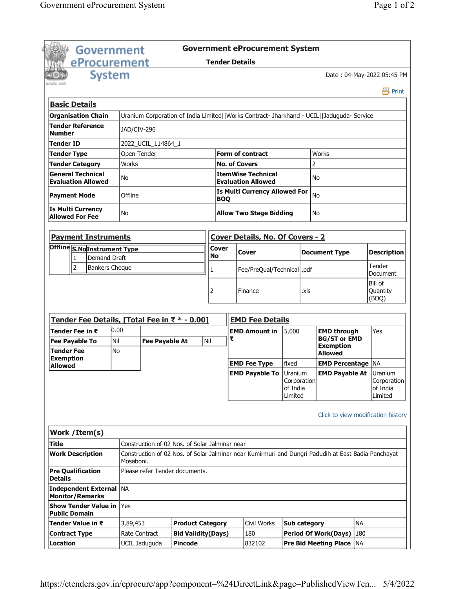|                      | <b>Government</b>                                       |                  |                       |                                                |                       |                                                    | <b>Government eProcurement System</b>                                                               |                                    |              |                                                           |           |                                    |
|----------------------|---------------------------------------------------------|------------------|-----------------------|------------------------------------------------|-----------------------|----------------------------------------------------|-----------------------------------------------------------------------------------------------------|------------------------------------|--------------|-----------------------------------------------------------|-----------|------------------------------------|
|                      | eProcurement                                            |                  |                       |                                                | <b>Tender Details</b> |                                                    |                                                                                                     |                                    |              |                                                           |           |                                    |
|                      | <b>System</b>                                           |                  |                       |                                                |                       |                                                    |                                                                                                     |                                    |              |                                                           |           | Date: 04-May-2022 05:45 PM         |
| रसमोत जन्म           |                                                         |                  |                       |                                                |                       |                                                    |                                                                                                     |                                    |              |                                                           |           | 昌 Print                            |
| <b>Basic Details</b> |                                                         |                  |                       |                                                |                       |                                                    |                                                                                                     |                                    |              |                                                           |           |                                    |
|                      | <b>Organisation Chain</b>                               |                  |                       |                                                |                       |                                                    | Uranium Corporation of India Limited  Works Contract- Jharkhand - UCIL  Jaduguda- Service           |                                    |              |                                                           |           |                                    |
| <b>Number</b>        | <b>Tender Reference</b>                                 | JAD/CIV-296      |                       |                                                |                       |                                                    |                                                                                                     |                                    |              |                                                           |           |                                    |
| Tender ID            |                                                         |                  | 2022_UCIL_114864_1    |                                                |                       |                                                    |                                                                                                     |                                    |              |                                                           |           |                                    |
| <b>Tender Type</b>   |                                                         | Open Tender      |                       |                                                |                       |                                                    | <b>Form of contract</b>                                                                             |                                    | <b>Works</b> |                                                           |           |                                    |
|                      | <b>Tender Category</b>                                  | Works            |                       |                                                |                       |                                                    | <b>No. of Covers</b>                                                                                |                                    | 2            |                                                           |           |                                    |
|                      | <b>General Technical</b><br><b>Evaluation Allowed</b>   | No               |                       |                                                |                       |                                                    | <b>ItemWise Technical</b><br><b>Evaluation Allowed</b>                                              |                                    | No           |                                                           |           |                                    |
| <b>Payment Mode</b>  |                                                         | Offline          |                       |                                                |                       | <b>Is Multi Currency Allowed For</b><br><b>BOQ</b> |                                                                                                     |                                    | No           |                                                           |           |                                    |
|                      | <b>Is Multi Currency</b><br><b>Allowed For Fee</b>      | No               |                       |                                                |                       |                                                    | <b>Allow Two Stage Bidding</b>                                                                      |                                    | No           |                                                           |           |                                    |
|                      | <b>Payment Instruments</b>                              |                  |                       |                                                |                       |                                                    | <b>Cover Details, No. Of Covers - 2</b>                                                             |                                    |              |                                                           |           |                                    |
|                      | Offline S.NoInstrument Type<br><b>Demand Draft</b><br>1 |                  |                       |                                                | Cover<br>No           |                                                    | Cover                                                                                               |                                    |              | <b>Document Type</b>                                      |           | <b>Description</b>                 |
|                      | $\overline{2}$<br><b>Bankers Cheque</b>                 |                  |                       |                                                | 1                     |                                                    | Fee/PreQual/Technical  .pdf                                                                         |                                    |              |                                                           |           | Tender<br>Document                 |
|                      |                                                         |                  |                       |                                                |                       |                                                    | Finance                                                                                             |                                    | .xls         |                                                           |           | Bill of<br>Quantity<br>(BOQ)       |
|                      | Tender Fee Details, [Total Fee in ₹ * - 0.00]           |                  |                       |                                                |                       |                                                    | <b>EMD Fee Details</b>                                                                              |                                    |              |                                                           |           |                                    |
|                      | Tender Fee in ₹                                         | 0.00             |                       |                                                |                       |                                                    | <b>EMD Amount in</b>                                                                                | 5,000                              |              | <b>EMD through</b>                                        |           | Yes                                |
| <b>Tender Fee</b>    | <b>Fee Payable To</b>                                   | Nil<br><b>No</b> | <b>Fee Payable At</b> |                                                | Nil                   | ₹                                                  |                                                                                                     |                                    |              | <b>BG/ST or EMD</b><br><b>Exemption</b><br><b>Allowed</b> |           |                                    |
| <b>Exemption</b>     |                                                         |                  |                       |                                                |                       |                                                    | <b>EMD Fee Type</b>                                                                                 | fixed                              |              | <b>EMD Percentage   NA</b>                                |           |                                    |
| <b>Allowed</b>       |                                                         |                  |                       |                                                |                       |                                                    | <b>EMD Payable To Uranium</b>                                                                       | Corporation<br>of India<br>Limited |              | <b>EMD Payable At Uranium</b>                             |           | Corporation<br>of India<br>Limited |
|                      | Work / Item(s)                                          |                  |                       |                                                |                       |                                                    |                                                                                                     |                                    |              |                                                           |           | Click to view modification history |
| Title                |                                                         |                  |                       | Construction of 02 Nos. of Solar Jalminar near |                       |                                                    |                                                                                                     |                                    |              |                                                           |           |                                    |
|                      | <b>Work Description</b>                                 | Mosaboni.        |                       |                                                |                       |                                                    | Construction of 02 Nos. of Solar Jalminar near Kumirmuri and Dungri Padudih at East Badia Panchayat |                                    |              |                                                           |           |                                    |
|                      |                                                         |                  |                       | Please refer Tender documents.                 |                       |                                                    |                                                                                                     |                                    |              |                                                           |           |                                    |
| <b>Details</b>       | <b>Pre Qualification</b>                                |                  |                       |                                                |                       |                                                    |                                                                                                     |                                    |              |                                                           |           |                                    |
|                      | Independent External   NA<br><b>Monitor/Remarks</b>     |                  |                       |                                                |                       |                                                    |                                                                                                     |                                    |              |                                                           |           |                                    |
| <b>Public Domain</b> | <b>Show Tender Value in</b>                             | Yes              |                       |                                                |                       |                                                    |                                                                                                     |                                    |              |                                                           |           |                                    |
|                      | Tender Value in ₹                                       | 3,89,453         |                       | <b>Product Category</b>                        |                       |                                                    | Civil Works                                                                                         | <b>Sub category</b>                |              |                                                           | <b>NA</b> |                                    |
| <b>Contract Type</b> |                                                         |                  | Rate Contract         | <b>Bid Validity(Days)</b>                      |                       |                                                    | 180<br>832102                                                                                       |                                    |              | <b>Period Of Work(Days)</b>                               | 180       |                                    |